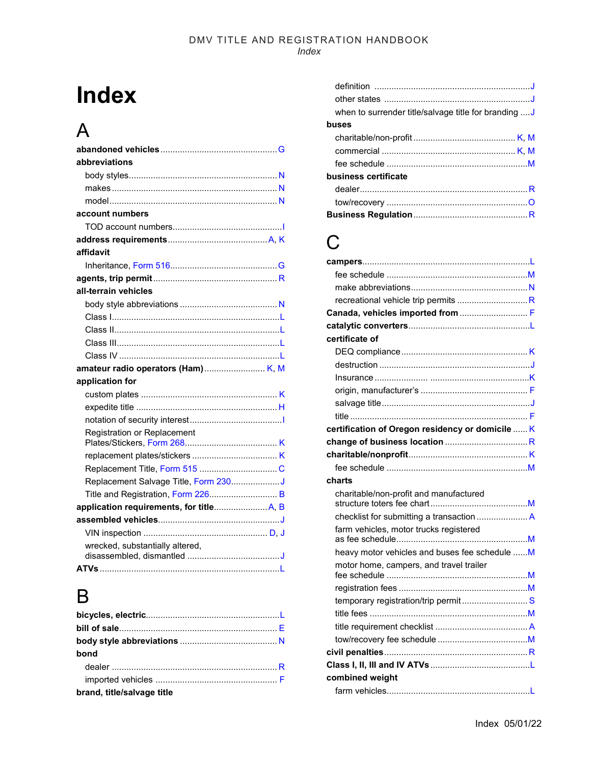# **Index**

### A

| abbreviations                        |
|--------------------------------------|
|                                      |
|                                      |
|                                      |
| account numbers                      |
|                                      |
|                                      |
| affidavit                            |
|                                      |
|                                      |
| all-terrain vehicles                 |
|                                      |
|                                      |
|                                      |
|                                      |
|                                      |
|                                      |
| application for                      |
|                                      |
|                                      |
|                                      |
| Registration or Replacement          |
|                                      |
|                                      |
| Replacement Salvage Title, Form 230J |
| Title and Registration, Form 226 B   |
|                                      |
|                                      |
|                                      |
|                                      |
| wrecked, substantially altered,      |

### B

| bond                       |  |
|----------------------------|--|
|                            |  |
|                            |  |
| brand, title/salvage title |  |

| when to surrender title/salvage title for branding  J |  |
|-------------------------------------------------------|--|
| buses                                                 |  |
|                                                       |  |
|                                                       |  |
|                                                       |  |
| business certificate                                  |  |
|                                                       |  |
|                                                       |  |
|                                                       |  |

### C

| Canada, vehicles imported from  F                |  |
|--------------------------------------------------|--|
|                                                  |  |
| certificate of                                   |  |
|                                                  |  |
|                                                  |  |
|                                                  |  |
|                                                  |  |
|                                                  |  |
|                                                  |  |
| certification of Oregon residency or domicile  K |  |
|                                                  |  |
|                                                  |  |
|                                                  |  |
| charts                                           |  |
| charitable/non-profit and manufactured           |  |
|                                                  |  |
| farm vehicles, motor trucks registered           |  |
| heavy motor vehicles and buses fee schedule  M   |  |
| motor home, campers, and travel trailer          |  |
|                                                  |  |
|                                                  |  |
| temporary registration/trip permit S             |  |
|                                                  |  |
|                                                  |  |
|                                                  |  |
|                                                  |  |
|                                                  |  |
| combined weight                                  |  |
|                                                  |  |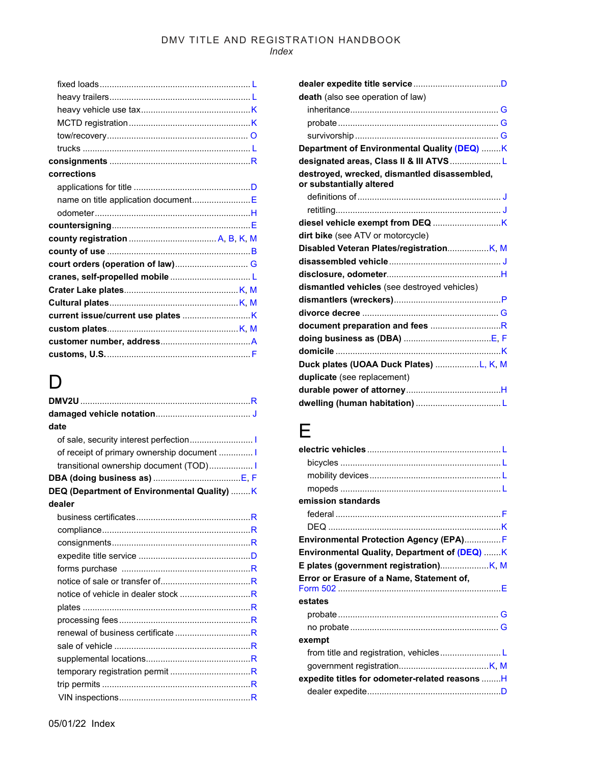*Index*

| corrections                         |  |
|-------------------------------------|--|
|                                     |  |
| name on title application documentE |  |
|                                     |  |
|                                     |  |
|                                     |  |
|                                     |  |
|                                     |  |
|                                     |  |
|                                     |  |
|                                     |  |
|                                     |  |
|                                     |  |
|                                     |  |
|                                     |  |

### D<sub>1</sub>

| date                                         |
|----------------------------------------------|
|                                              |
| of receipt of primary ownership document  I  |
| transitional ownership document (TOD)        |
|                                              |
| DEQ (Department of Environmental Quality)  K |
| dealer                                       |
|                                              |
|                                              |
|                                              |
|                                              |
|                                              |
|                                              |
| notice of vehicle in dealer stock R          |
|                                              |
|                                              |
| renewal of business certificate R            |
|                                              |
|                                              |
|                                              |
|                                              |
|                                              |

| death (also see operation of law)                                        |  |
|--------------------------------------------------------------------------|--|
|                                                                          |  |
|                                                                          |  |
|                                                                          |  |
| Department of Environmental Quality (DEQ) K                              |  |
| designated areas, Class II & III ATVS L                                  |  |
| destroyed, wrecked, dismantled disassembled,<br>or substantially altered |  |
|                                                                          |  |
|                                                                          |  |
|                                                                          |  |
| dirt bike (see ATV or motorcycle)                                        |  |
|                                                                          |  |
|                                                                          |  |
|                                                                          |  |
| dismantled vehicles (see destroyed vehicles)                             |  |
|                                                                          |  |
|                                                                          |  |
|                                                                          |  |
|                                                                          |  |
|                                                                          |  |
| Duck plates (UOAA Duck Plates) L, K, M                                   |  |
| duplicate (see replacement)                                              |  |
|                                                                          |  |
|                                                                          |  |

### E

| emission standards                              |  |
|-------------------------------------------------|--|
|                                                 |  |
|                                                 |  |
| Environmental Protection Agency (EPA) F         |  |
| Environmental Quality, Department of (DEQ) K    |  |
|                                                 |  |
| Error or Erasure of a Name, Statement of,       |  |
| estates                                         |  |
|                                                 |  |
|                                                 |  |
| exempt                                          |  |
|                                                 |  |
|                                                 |  |
| expedite titles for odometer-related reasons  H |  |
|                                                 |  |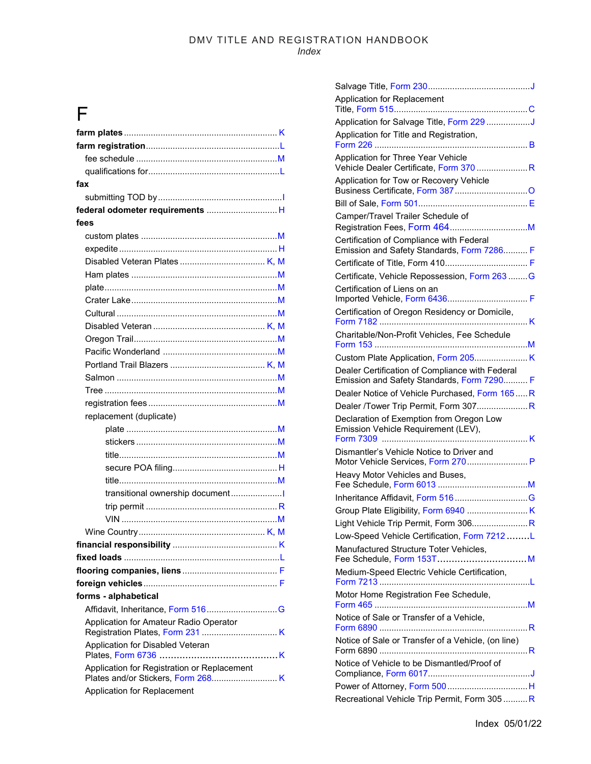### $\overline{F}$

| fax                                         |
|---------------------------------------------|
|                                             |
| federal odometer requirements  H            |
| fees                                        |
|                                             |
|                                             |
|                                             |
|                                             |
|                                             |
|                                             |
|                                             |
|                                             |
|                                             |
|                                             |
|                                             |
|                                             |
|                                             |
|                                             |
| replacement (duplicate)                     |
|                                             |
|                                             |
| <u>title…………………………………………………………M</u>         |
|                                             |
|                                             |
| transitional ownership document             |
|                                             |
|                                             |
|                                             |
|                                             |
|                                             |
|                                             |
|                                             |
| forms - alphabetical                        |
|                                             |
| Application for Amateur Radio Operator      |
|                                             |
| Application for Disabled Veteran            |
|                                             |
| Application for Registration or Replacement |
| Application for Replacement                 |

| Application for Replacement                                                                   |  |
|-----------------------------------------------------------------------------------------------|--|
| Application for Salvage Title, Form 229 J                                                     |  |
| Application for Title and Registration,                                                       |  |
| Application for Three Year Vehicle<br>Vehicle Dealer Certificate, Form 370 R                  |  |
| Application for Tow or Recovery Vehicle                                                       |  |
|                                                                                               |  |
| Camper/Travel Trailer Schedule of                                                             |  |
| Certification of Compliance with Federal<br>Emission and Safety Standards, Form 7286 F        |  |
|                                                                                               |  |
| Certificate, Vehicle Repossession, Form 263 G                                                 |  |
| Certification of Liens on an                                                                  |  |
|                                                                                               |  |
| Certification of Oregon Residency or Domicile,                                                |  |
| Charitable/Non-Profit Vehicles, Fee Schedule                                                  |  |
|                                                                                               |  |
| Dealer Certification of Compliance with Federal<br>Emission and Safety Standards, Form 7290 F |  |
| Dealer Notice of Vehicle Purchased, Form 165R                                                 |  |
| Dealer /Tower Trip Permit, Form 307R                                                          |  |
| Declaration of Exemption from Oregon Low<br>Emission Vehicle Requirement (LEV),               |  |
| Dismantler's Vehicle Notice to Driver and<br>Motor Vehicle Services, Form 270 P               |  |
| Heavy Motor Vehicles and Buses,                                                               |  |
|                                                                                               |  |
|                                                                                               |  |
|                                                                                               |  |
| Low-Speed Vehicle Certification, Form 7212L                                                   |  |
| Manufactured Structure Toter Vehicles,                                                        |  |
| Medium-Speed Electric Vehicle Certification,                                                  |  |
| Motor Home Registration Fee Schedule,                                                         |  |
| Notice of Sale or Transfer of a Vehicle,<br>Form 6890                                         |  |
| Notice of Sale or Transfer of a Vehicle, (on line)                                            |  |
| Notice of Vehicle to be Dismantled/Proof of                                                   |  |
|                                                                                               |  |
| Recreational Vehicle Trip Permit, Form 305  R                                                 |  |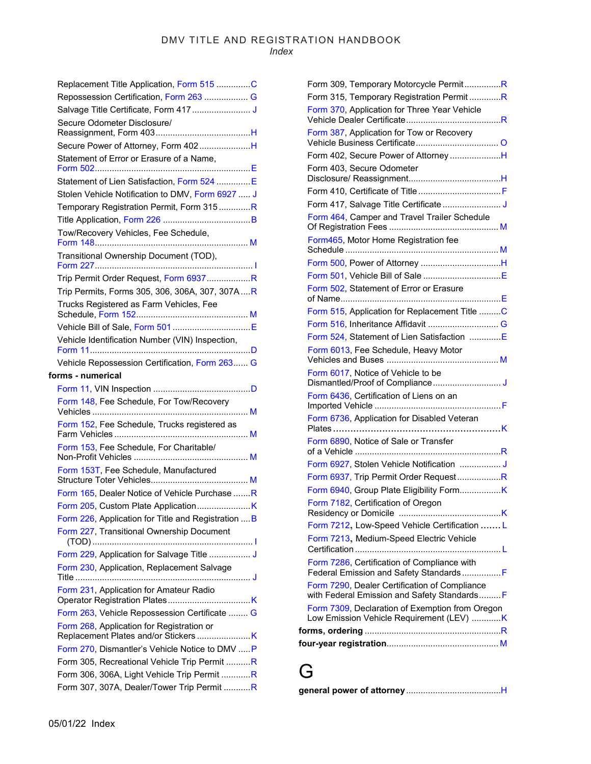| Repossession Certification, Form 263  G             |
|-----------------------------------------------------|
|                                                     |
| Secure Odometer Disclosure/                         |
|                                                     |
| Secure Power of Attorney, Form 402H                 |
| Statement of Error or Erasure of a Name,            |
|                                                     |
| Statement of Lien Satisfaction, Form 524 E          |
| Stolen Vehicle Notification to DMV, Form 6927  J    |
|                                                     |
| Temporary Registration Permit, Form 315R            |
|                                                     |
| Tow/Recovery Vehicles, Fee Schedule,                |
| Transitional Ownership Document (TOD),              |
| Trip Permit Order Request, Form 6937R               |
| Trip Permits, Forms 305, 306, 306A, 307, 307AR      |
| Trucks Registered as Farm Vehicles, Fee             |
|                                                     |
|                                                     |
| Vehicle Identification Number (VIN) Inspection,     |
|                                                     |
| Vehicle Repossession Certification, Form 263 G      |
|                                                     |
| forms - numerical                                   |
|                                                     |
| Form 148, Fee Schedule, For Tow/Recovery            |
| Form 152, Fee Schedule, Trucks registered as        |
|                                                     |
|                                                     |
| Form 153, Fee Schedule, For Charitable/             |
|                                                     |
| Form 153T, Fee Schedule, Manufactured               |
|                                                     |
| Form 165, Dealer Notice of Vehicle Purchase R       |
|                                                     |
| Form 226, Application for Title and Registration  B |
| Form 227, Transitional Ownership Document           |
|                                                     |
| Form 229, Application for Salvage Title  J          |
| Form 230, Application, Replacement Salvage          |
|                                                     |
| Form 231, Application for Amateur Radio             |
|                                                     |
| Form 263, Vehicle Repossession Certificate  G       |
| Form 268, Application for Registration or           |
| Form 270, Dismantler's Vehicle Notice to DMV  P     |
| Form 305, Recreational Vehicle Trip Permit R        |
| Form 306, 306A, Light Vehicle Trip Permit R         |

| Form 309, Temporary Motorcycle PermitR                                                        |
|-----------------------------------------------------------------------------------------------|
| Form 315, Temporary Registration PermitR                                                      |
| Form 370, Application for Three Year Vehicle                                                  |
| Form 387, Application for Tow or Recovery                                                     |
| Form 402, Secure Power of AttorneyH                                                           |
| Form 403, Secure Odometer                                                                     |
|                                                                                               |
|                                                                                               |
| Form 464, Camper and Travel Trailer Schedule                                                  |
| Form465, Motor Home Registration fee                                                          |
|                                                                                               |
|                                                                                               |
| Form 502, Statement of Error or Erasure                                                       |
| Form 515, Application for Replacement Title C                                                 |
|                                                                                               |
| Form 524, Statement of Lien Satisfaction E                                                    |
| Form 6013, Fee Schedule, Heavy Motor                                                          |
| Form 6017, Notice of Vehicle to be                                                            |
| Form 6436, Certification of Liens on an                                                       |
| Form 6736, Application for Disabled Veteran                                                   |
| Form 6890, Notice of Sale or Transfer                                                         |
| Form 6927, Stolen Vehicle Notification  J                                                     |
| Form 6937, Trip Permit Order RequestR                                                         |
|                                                                                               |
| Form 7182, Certification of Oregon<br>Residency or Domicile<br>. K                            |
| Form 7212, Low-Speed Vehicle Certification  L                                                 |
| Form 7213, Medium-Speed Electric Vehicle                                                      |
| Form 7286, Certification of Compliance with<br>Federal Emission and Safety StandardsF         |
| Form 7290, Dealer Certification of Compliance<br>with Federal Emission and Safety Standards F |
| Form 7309, Declaration of Exemption from Oregon<br>Low Emission Vehicle Requirement (LEV) K   |
|                                                                                               |
|                                                                                               |

### G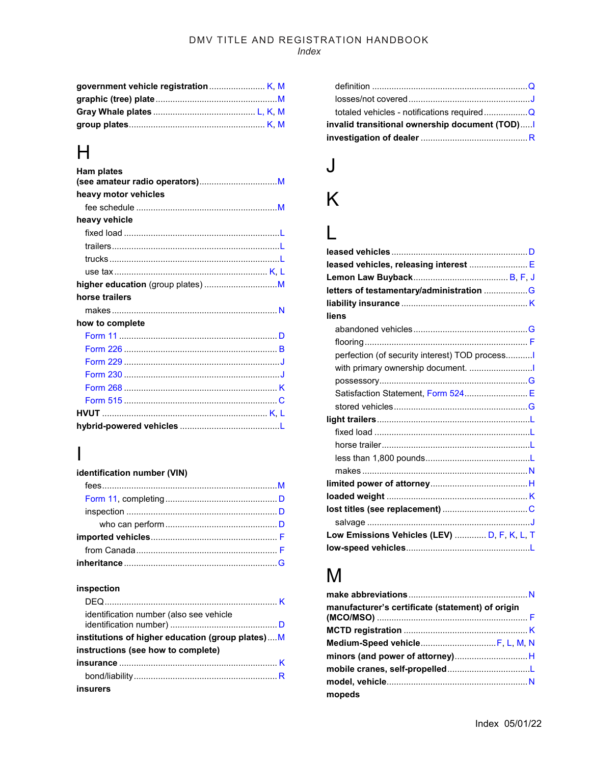### $H$

| <b>Ham plates</b>    |  |
|----------------------|--|
| heavy motor vehicles |  |
|                      |  |
| heavy vehicle        |  |
|                      |  |
|                      |  |
|                      |  |
|                      |  |
|                      |  |
| horse trailers       |  |
|                      |  |
| how to complete      |  |
|                      |  |
|                      |  |
|                      |  |
|                      |  |
|                      |  |
|                      |  |
|                      |  |
|                      |  |

### $\mathbf l$

#### identification number (VIN)

#### inspection

| identification number (also see vehicle          |  |
|--------------------------------------------------|--|
| institutions of higher education (group plates)M |  |
| instructions (see how to complete)               |  |
|                                                  |  |
|                                                  |  |
| insurers                                         |  |

| invalid transitional ownership document (TOD) |
|-----------------------------------------------|
|                                               |
|                                               |
|                                               |

## $\overline{\mathsf{J}}$

## K

### $\overline{L}$

| leased vehicles, releasing interest  E        |  |
|-----------------------------------------------|--|
|                                               |  |
|                                               |  |
|                                               |  |
| liens                                         |  |
|                                               |  |
|                                               |  |
| perfection (of security interest) TOD process |  |
| with primary ownership document.              |  |
|                                               |  |
| Satisfaction Statement, Form 524 E            |  |
|                                               |  |
|                                               |  |
|                                               |  |
|                                               |  |
|                                               |  |
|                                               |  |
|                                               |  |
|                                               |  |
|                                               |  |
|                                               |  |
| Low Emissions Vehicles (LEV)  D, F, K, L, T   |  |
|                                               |  |

### $M$

| manufacturer's certificate (statement) of origin |  |
|--------------------------------------------------|--|
|                                                  |  |
| Medium-Speed vehicle F, L, M, N                  |  |
|                                                  |  |
|                                                  |  |
|                                                  |  |
| mopeds                                           |  |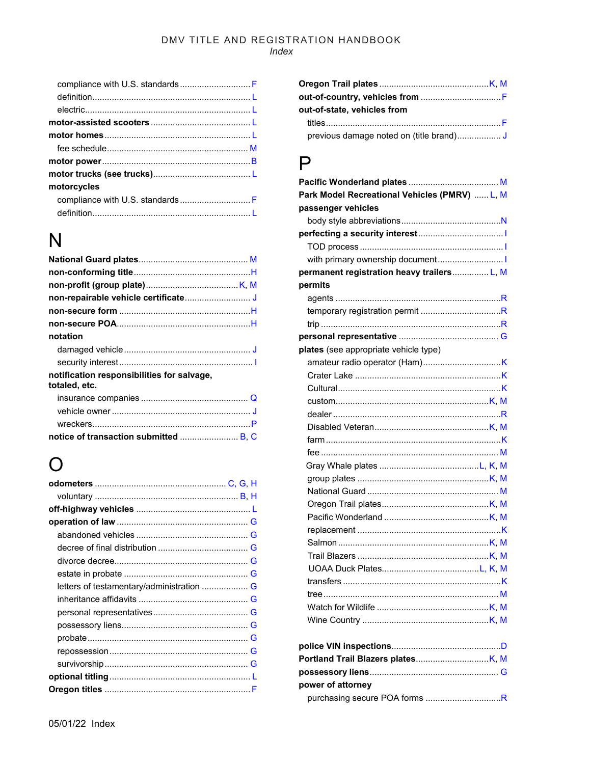| compliance with U.S. standards F |
|----------------------------------|
|                                  |
|                                  |
|                                  |
|                                  |
|                                  |
|                                  |
|                                  |
| motorcycles                      |
| compliance with U.S. standards F |
|                                  |

### N

| notation                                                    |
|-------------------------------------------------------------|
|                                                             |
|                                                             |
| notification responsibilities for salvage,<br>totaled, etc. |
|                                                             |
|                                                             |
|                                                             |
|                                                             |

### ( )

| out-of-state, vehicles from |
|-----------------------------|
|                             |
|                             |

### $\mathsf{P}$

| Park Model Recreational Vehicles (PMRV)  L, M |
|-----------------------------------------------|
| passenger vehicles                            |
|                                               |
|                                               |
|                                               |
|                                               |
| permanent registration heavy trailers L, M    |
| permits                                       |
|                                               |
|                                               |
|                                               |
|                                               |
| plates (see appropriate vehicle type)         |
|                                               |
|                                               |
|                                               |
|                                               |
|                                               |
|                                               |
|                                               |
|                                               |
|                                               |
|                                               |
|                                               |
|                                               |
|                                               |
|                                               |
|                                               |
|                                               |
|                                               |
|                                               |
|                                               |
|                                               |
|                                               |
|                                               |
|                                               |
|                                               |
|                                               |
| power of attorney                             |
|                                               |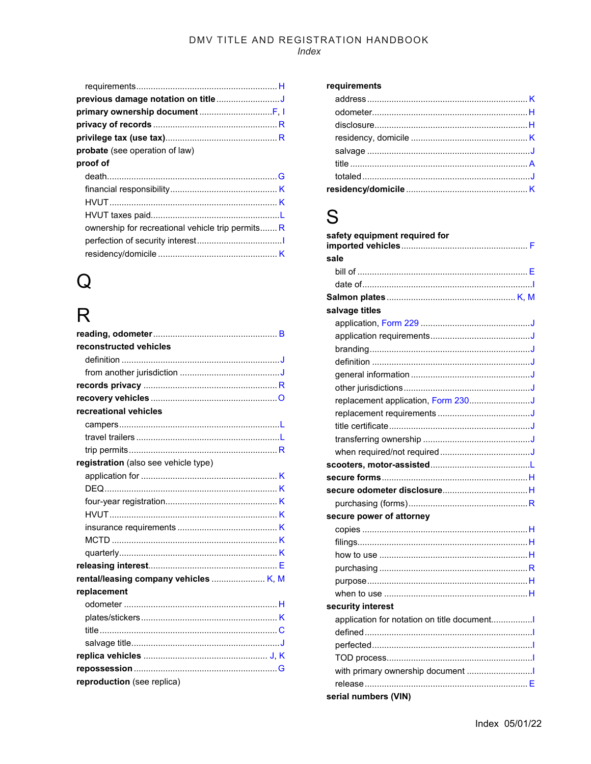| <b>probate</b> (see operation of law)            |  |
|--------------------------------------------------|--|
| proof of                                         |  |
|                                                  |  |
|                                                  |  |
|                                                  |  |
|                                                  |  |
| ownership for recreational vehicle trip permitsR |  |
|                                                  |  |
|                                                  |  |
|                                                  |  |

## $\mathsf{Q}$

## $\overline{R}$

| reconstructed vehicles               |  |
|--------------------------------------|--|
|                                      |  |
|                                      |  |
|                                      |  |
|                                      |  |
| recreational vehicles                |  |
|                                      |  |
|                                      |  |
|                                      |  |
| registration (also see vehicle type) |  |
|                                      |  |
|                                      |  |
|                                      |  |
|                                      |  |
|                                      |  |
|                                      |  |
|                                      |  |
|                                      |  |
|                                      |  |
| replacement                          |  |
|                                      |  |
|                                      |  |
|                                      |  |
|                                      |  |
|                                      |  |
|                                      |  |
| reproduction (see replica)           |  |

#### requirements

### S

| safety equipment required for              |
|--------------------------------------------|
| sale                                       |
|                                            |
|                                            |
|                                            |
| salvage titles                             |
|                                            |
|                                            |
|                                            |
|                                            |
|                                            |
|                                            |
| replacement application, Form 230J         |
|                                            |
|                                            |
|                                            |
|                                            |
|                                            |
|                                            |
|                                            |
|                                            |
| secure power of attorney                   |
|                                            |
|                                            |
|                                            |
|                                            |
|                                            |
|                                            |
| security interest                          |
| application for notation on title document |
|                                            |
|                                            |
|                                            |
| with primary ownership document            |
|                                            |
| serial numbers (VIN)                       |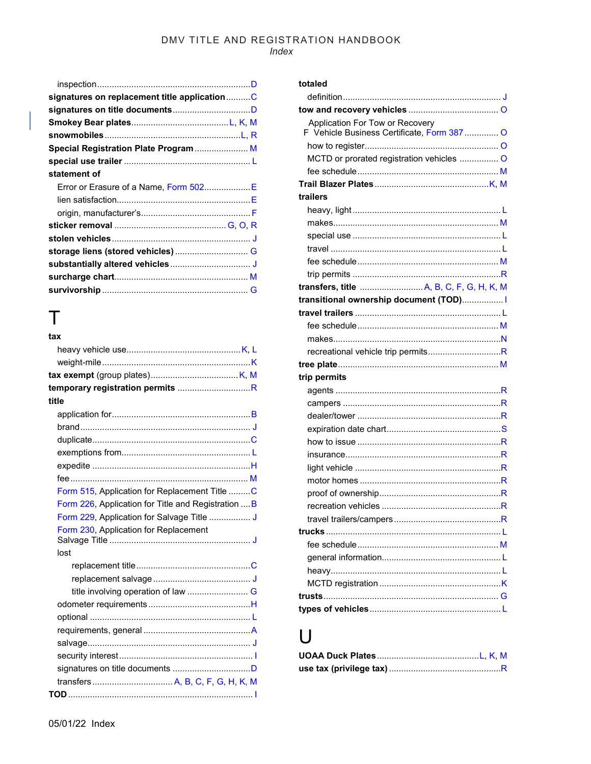#### $Index$

| signatures on replacement title applicationC |
|----------------------------------------------|
|                                              |
|                                              |
|                                              |
| Special Registration Plate Program M         |
|                                              |
|                                              |
| Error or Erasure of a Name, Form 502E        |
|                                              |
|                                              |
|                                              |
|                                              |
|                                              |
|                                              |
|                                              |
|                                              |
|                                              |

### Τ

| tax                                                 |  |
|-----------------------------------------------------|--|
|                                                     |  |
|                                                     |  |
|                                                     |  |
|                                                     |  |
| title                                               |  |
|                                                     |  |
|                                                     |  |
|                                                     |  |
|                                                     |  |
|                                                     |  |
|                                                     |  |
| Form 515, Application for Replacement Title C       |  |
| Form 226, Application for Title and Registration  B |  |
| Form 229, Application for Salvage Title  J          |  |
| Form 230, Application for Replacement               |  |
| lost                                                |  |
|                                                     |  |
|                                                     |  |
|                                                     |  |
|                                                     |  |
|                                                     |  |
|                                                     |  |
|                                                     |  |
|                                                     |  |
|                                                     |  |
|                                                     |  |
|                                                     |  |

#### totaled

| Application For Tow or Recovery             |
|---------------------------------------------|
| F Vehicle Business Certificate, Form 387  O |
|                                             |
| MCTD or prorated registration vehicles  O   |
|                                             |
|                                             |
| trailers                                    |
|                                             |
|                                             |
|                                             |
|                                             |
|                                             |
|                                             |
|                                             |
| transitional ownership document (TOD)       |
|                                             |
|                                             |
|                                             |
|                                             |
|                                             |
| trip permits                                |
|                                             |
|                                             |
|                                             |
|                                             |
|                                             |
|                                             |
|                                             |
|                                             |
|                                             |
|                                             |
|                                             |
|                                             |
|                                             |
|                                             |
|                                             |
|                                             |
|                                             |
|                                             |
|                                             |

### $\bigcup$